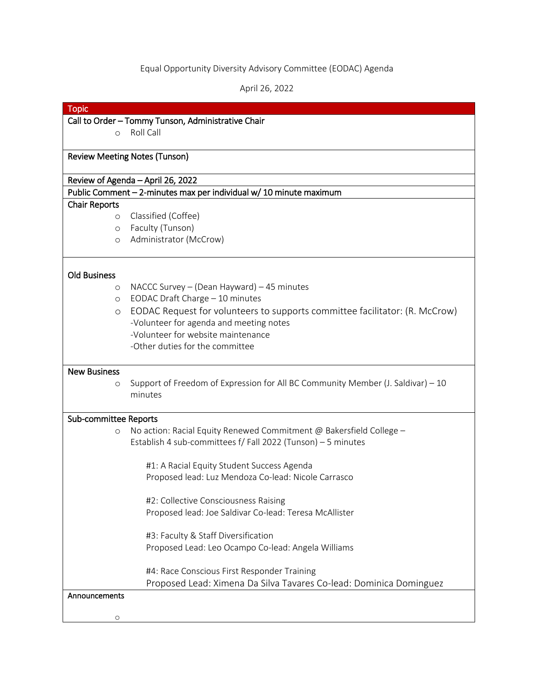## Equal Opportunity Diversity Advisory Committee (EODAC) Agenda

April 26, 2022

| ODIC |
|------|
|      |

### Call to Order – Tommy Tunson, Administrative Chair

o Roll Call

### Review Meeting Notes (Tunson)

#### Review of Agenda – April 26, 2022

#### Public Comment – 2-minutes max per individual w/ 10 minute maximum

#### Chair Reports

- o Classified (Coffee)
- o Faculty (Tunson)
- o Administrator (McCrow)

# Old Business

- o NACCC Survey (Dean Hayward) 45 minutes
- o EODAC Draft Charge 10 minutes
- o EODAC Request for volunteers to supports committee facilitator: (R. McCrow) -Volunteer for agenda and meeting notes -Volunteer for website maintenance
	- -Other duties for the committee

#### New Business

o Support of Freedom of Expression for All BC Community Member (J. Saldivar) – 10 minutes

## Sub-committee Reports

o No action: Racial Equity Renewed Commitment @ Bakersfield College – Establish 4 sub-committees f/ Fall 2022 (Tunson) – 5 minutes

> #1: A Racial Equity Student Success Agenda Proposed lead: Luz Mendoza Co-lead: Nicole Carrasco

> #2: Collective Consciousness Raising Proposed lead: Joe Saldivar Co-lead: Teresa McAllister

> #3: Faculty & Staff Diversification Proposed Lead: Leo Ocampo Co-lead: Angela Williams

#4: Race Conscious First Responder Training Proposed Lead: Ximena Da Silva Tavares Co-lead: Dominica Dominguez

# Announcements